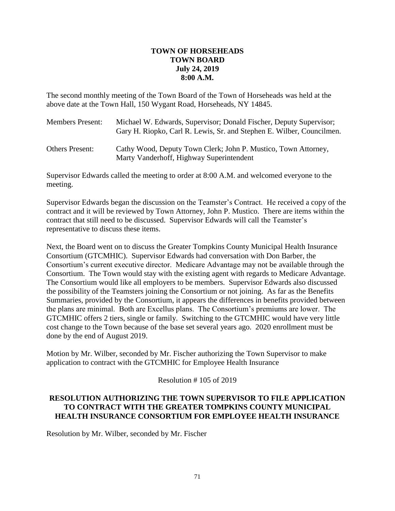### **TOWN OF HORSEHEADS TOWN BOARD July 24, 2019 8:00 A.M.**

The second monthly meeting of the Town Board of the Town of Horseheads was held at the above date at the Town Hall, 150 Wygant Road, Horseheads, NY 14845.

| <b>Members Present:</b> | Michael W. Edwards, Supervisor; Donald Fischer, Deputy Supervisor;<br>Gary H. Riopko, Carl R. Lewis, Sr. and Stephen E. Wilber, Councilmen. |
|-------------------------|---------------------------------------------------------------------------------------------------------------------------------------------|
| <b>Others Present:</b>  | Cathy Wood, Deputy Town Clerk; John P. Mustico, Town Attorney,<br>Marty Vanderhoff, Highway Superintendent                                  |

Supervisor Edwards called the meeting to order at 8:00 A.M. and welcomed everyone to the meeting.

Supervisor Edwards began the discussion on the Teamster's Contract. He received a copy of the contract and it will be reviewed by Town Attorney, John P. Mustico. There are items within the contract that still need to be discussed. Supervisor Edwards will call the Teamster's representative to discuss these items.

Next, the Board went on to discuss the Greater Tompkins County Municipal Health Insurance Consortium (GTCMHIC). Supervisor Edwards had conversation with Don Barber, the Consortium's current executive director. Medicare Advantage may not be available through the Consortium. The Town would stay with the existing agent with regards to Medicare Advantage. The Consortium would like all employers to be members. Supervisor Edwards also discussed the possibility of the Teamsters joining the Consortium or not joining. As far as the Benefits Summaries, provided by the Consortium, it appears the differences in benefits provided between the plans are minimal. Both are Excellus plans. The Consortium's premiums are lower. The GTCMHIC offers 2 tiers, single or family. Switching to the GTCMHIC would have very little cost change to the Town because of the base set several years ago. 2020 enrollment must be done by the end of August 2019.

Motion by Mr. Wilber, seconded by Mr. Fischer authorizing the Town Supervisor to make application to contract with the GTCMHIC for Employee Health Insurance

Resolution # 105 of 2019

# **RESOLUTION AUTHORIZING THE TOWN SUPERVISOR TO FILE APPLICATION TO CONTRACT WITH THE GREATER TOMPKINS COUNTY MUNICIPAL HEALTH INSURANCE CONSORTIUM FOR EMPLOYEE HEALTH INSURANCE**

Resolution by Mr. Wilber, seconded by Mr. Fischer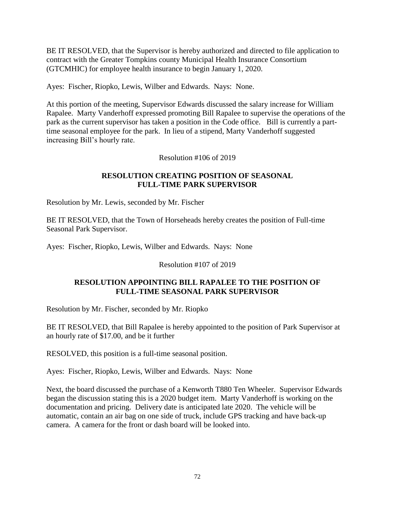BE IT RESOLVED, that the Supervisor is hereby authorized and directed to file application to contract with the Greater Tompkins county Municipal Health Insurance Consortium (GTCMHIC) for employee health insurance to begin January 1, 2020.

Ayes: Fischer, Riopko, Lewis, Wilber and Edwards. Nays: None.

At this portion of the meeting, Supervisor Edwards discussed the salary increase for William Rapalee. Marty Vanderhoff expressed promoting Bill Rapalee to supervise the operations of the park as the current supervisor has taken a position in the Code office. Bill is currently a parttime seasonal employee for the park. In lieu of a stipend, Marty Vanderhoff suggested increasing Bill's hourly rate.

Resolution #106 of 2019

### **RESOLUTION CREATING POSITION OF SEASONAL FULL-TIME PARK SUPERVISOR**

Resolution by Mr. Lewis, seconded by Mr. Fischer

BE IT RESOLVED, that the Town of Horseheads hereby creates the position of Full-time Seasonal Park Supervisor.

Ayes: Fischer, Riopko, Lewis, Wilber and Edwards. Nays: None

Resolution #107 of 2019

#### **RESOLUTION APPOINTING BILL RAPALEE TO THE POSITION OF FULL-TIME SEASONAL PARK SUPERVISOR**

Resolution by Mr. Fischer, seconded by Mr. Riopko

BE IT RESOLVED, that Bill Rapalee is hereby appointed to the position of Park Supervisor at an hourly rate of \$17.00, and be it further

RESOLVED, this position is a full-time seasonal position.

Ayes: Fischer, Riopko, Lewis, Wilber and Edwards. Nays: None

Next, the board discussed the purchase of a Kenworth T880 Ten Wheeler. Supervisor Edwards began the discussion stating this is a 2020 budget item. Marty Vanderhoff is working on the documentation and pricing. Delivery date is anticipated late 2020. The vehicle will be automatic, contain an air bag on one side of truck, include GPS tracking and have back-up camera. A camera for the front or dash board will be looked into.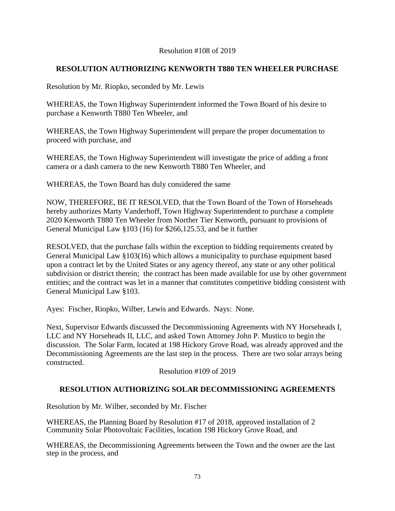#### Resolution #108 of 2019

# **RESOLUTION AUTHORIZING KENWORTH T880 TEN WHEELER PURCHASE**

Resolution by Mr. Riopko, seconded by Mr. Lewis

WHEREAS, the Town Highway Superintendent informed the Town Board of his desire to purchase a Kenworth T880 Ten Wheeler, and

WHEREAS, the Town Highway Superintendent will prepare the proper documentation to proceed with purchase, and

WHEREAS, the Town Highway Superintendent will investigate the price of adding a front camera or a dash camera to the new Kenworth T880 Ten Wheeler, and

WHEREAS, the Town Board has duly considered the same

NOW, THEREFORE, BE IT RESOLVED, that the Town Board of the Town of Horseheads hereby authorizes Marty Vanderhoff, Town Highway Superintendent to purchase a complete 2020 Kenworth T880 Ten Wheeler from Norther Tier Kenworth, pursuant to provisions of General Municipal Law §103 (16) for \$266,125.53, and be it further

RESOLVED, that the purchase falls within the exception to bidding requirements created by General Municipal Law §103(16) which allows a municipality to purchase equipment based upon a contract let by the United States or any agency thereof, any state or any other political subdivision or district therein; the contract has been made available for use by other government entities; and the contract was let in a manner that constitutes competitive bidding consistent with General Municipal Law §103.

Ayes: Fischer, Riopko, Wilber, Lewis and Edwards. Nays: None.

Next, Supervisor Edwards discussed the Decommissioning Agreements with NY Horseheads I, LLC and NY Horseheads II, LLC, and asked Town Attorney John P. Mustico to begin the discussion. The Solar Farm, located at 198 Hickory Grove Road, was already approved and the Decommissioning Agreements are the last step in the process. There are two solar arrays being constructed.

Resolution #109 of 2019

# **RESOLUTION AUTHORIZING SOLAR DECOMMISSIONING AGREEMENTS**

Resolution by Mr. Wilber, seconded by Mr. Fischer

WHEREAS, the Planning Board by Resolution #17 of 2018, approved installation of 2 Community Solar Photovoltaic Facilities, location 198 Hickory Grove Road, and

WHEREAS, the Decommissioning Agreements between the Town and the owner are the last step in the process, and